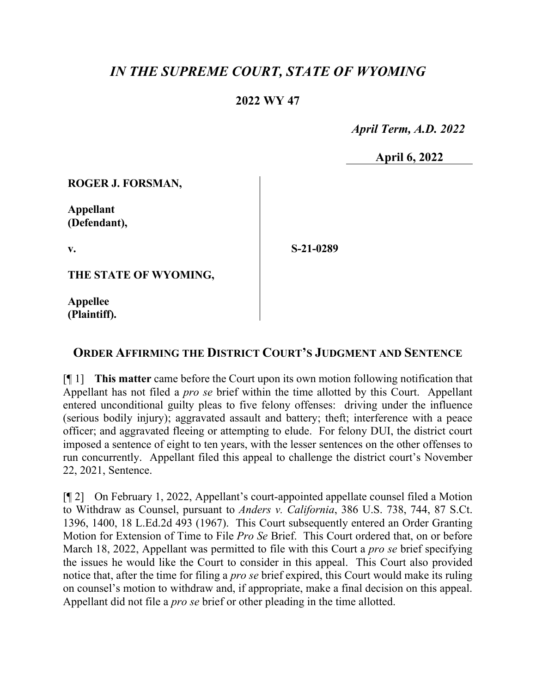## *IN THE SUPREME COURT, STATE OF WYOMING*

## **2022 WY 47**

 *April Term, A.D. 2022*

**April 6, 2022**

**ROGER J. FORSMAN,**

**Appellant (Defendant),**

**v.**

**S-21-0289**

**THE STATE OF WYOMING,**

**Appellee (Plaintiff).**

## **ORDER AFFIRMING THE DISTRICT COURT'S JUDGMENT AND SENTENCE**

[¶ 1] **This matter** came before the Court upon its own motion following notification that Appellant has not filed a *pro se* brief within the time allotted by this Court. Appellant entered unconditional guilty pleas to five felony offenses: driving under the influence (serious bodily injury); aggravated assault and battery; theft; interference with a peace officer; and aggravated fleeing or attempting to elude. For felony DUI, the district court imposed a sentence of eight to ten years, with the lesser sentences on the other offenses to run concurrently. Appellant filed this appeal to challenge the district court's November 22, 2021, Sentence.

[¶ 2] On February 1, 2022, Appellant's court-appointed appellate counsel filed a Motion to Withdraw as Counsel, pursuant to *Anders v. California*, 386 U.S. 738, 744, 87 S.Ct. 1396, 1400, 18 L.Ed.2d 493 (1967). This Court subsequently entered an Order Granting Motion for Extension of Time to File *Pro Se* Brief. This Court ordered that, on or before March 18, 2022, Appellant was permitted to file with this Court a *pro se* brief specifying the issues he would like the Court to consider in this appeal. This Court also provided notice that, after the time for filing a *pro se* brief expired, this Court would make its ruling on counsel's motion to withdraw and, if appropriate, make a final decision on this appeal. Appellant did not file a *pro se* brief or other pleading in the time allotted.